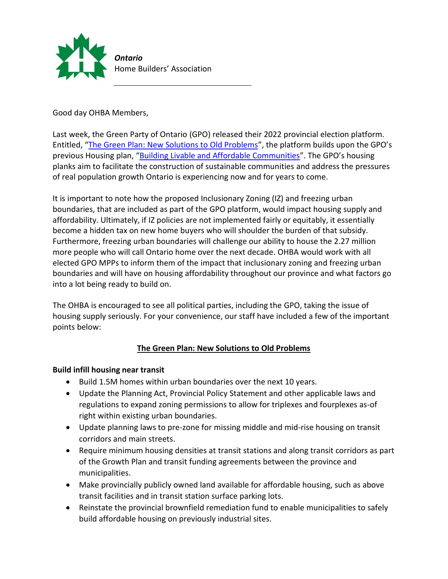

Good day OHBA Members,

Last week, the Green Party of Ontario (GPO) released their 2022 provincial election platform. Entitled, "[The Green Plan: New Solutions to Old Problems](https://files.ontariogreens.ca/platform/gpo-platform-2022-en-web.pdf)", the platform builds upon the GPO's previous Housing plan, "[Building Livable and Affordable Communities](https://files.ontariogreens.ca/platform/gpo-housing-en.pdf)". The GPO's housing planks aim to facilitate the construction of sustainable communities and address the pressures of real population growth Ontario is experiencing now and for years to come.

It is important to note how the proposed Inclusionary Zoning (IZ) and freezing urban boundaries, that are included as part of the GPO platform, would impact housing supply and affordability. Ultimately, if IZ policies are not implemented fairly or equitably, it essentially become a hidden tax on new home buyers who will shoulder the burden of that subsidy. Furthermore, freezing urban boundaries will challenge our ability to house the 2.27 million more people who will call Ontario home over the next decade. OHBA would work with all elected GPO MPPs to inform them of the impact that inclusionary zoning and freezing urban boundaries and will have on housing affordability throughout our province and what factors go into a lot being ready to build on.

The OHBA is encouraged to see all political parties, including the GPO, taking the issue of housing supply seriously. For your convenience, our staff have included a few of the important points below:

# **The Green Plan: New Solutions to Old Problems**

### **Build infill housing near transit**

- Build 1.5M homes within urban boundaries over the next 10 years.
- Update the Planning Act, Provincial Policy Statement and other applicable laws and regulations to expand zoning permissions to allow for triplexes and fourplexes as-of right within existing urban boundaries.
- Update planning laws to pre-zone for missing middle and mid-rise housing on transit corridors and main streets.
- Require minimum housing densities at transit stations and along transit corridors as part of the Growth Plan and transit funding agreements between the province and municipalities.
- Make provincially publicly owned land available for affordable housing, such as above transit facilities and in transit station surface parking lots.
- Reinstate the provincial brownfield remediation fund to enable municipalities to safely build affordable housing on previously industrial sites.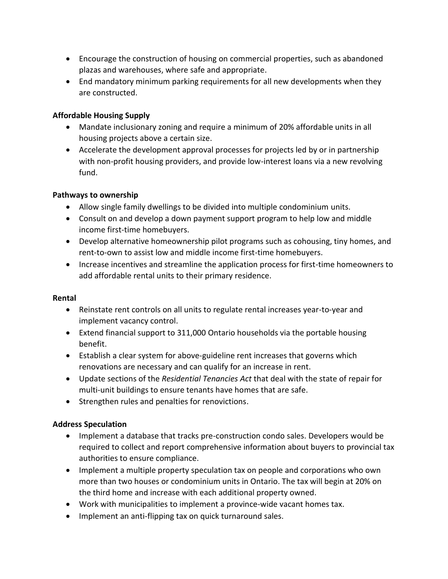- Encourage the construction of housing on commercial properties, such as abandoned plazas and warehouses, where safe and appropriate.
- End mandatory minimum parking requirements for all new developments when they are constructed.

### **Affordable Housing Supply**

- Mandate inclusionary zoning and require a minimum of 20% affordable units in all housing projects above a certain size.
- Accelerate the development approval processes for projects led by or in partnership with non-profit housing providers, and provide low-interest loans via a new revolving fund.

## **Pathways to ownership**

- Allow single family dwellings to be divided into multiple condominium units.
- Consult on and develop a down payment support program to help low and middle income first-time homebuyers.
- Develop alternative homeownership pilot programs such as cohousing, tiny homes, and rent-to-own to assist low and middle income first-time homebuyers.
- Increase incentives and streamline the application process for first-time homeowners to add affordable rental units to their primary residence.

### **Rental**

- Reinstate rent controls on all units to regulate rental increases year-to-year and implement vacancy control.
- Extend financial support to 311,000 Ontario households via the portable housing benefit.
- Establish a clear system for above-guideline rent increases that governs which renovations are necessary and can qualify for an increase in rent.
- Update sections of the *Residential Tenancies Act* that deal with the state of repair for multi-unit buildings to ensure tenants have homes that are safe.
- Strengthen rules and penalties for renovictions.

### **Address Speculation**

- Implement a database that tracks pre-construction condo sales. Developers would be required to collect and report comprehensive information about buyers to provincial tax authorities to ensure compliance.
- Implement a multiple property speculation tax on people and corporations who own more than two houses or condominium units in Ontario. The tax will begin at 20% on the third home and increase with each additional property owned.
- Work with municipalities to implement a province-wide vacant homes tax.
- Implement an anti-flipping tax on quick turnaround sales.